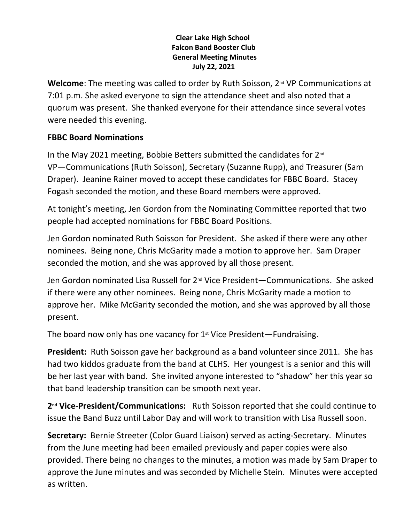## **Clear Lake High School Falcon Band Booster Club General Meeting Minutes July 22, 2021**

Welcome: The meeting was called to order by Ruth Soisson, 2<sup>nd</sup> VP Communications at 7:01 p.m. She asked everyone to sign the attendance sheet and also noted that a quorum was present. She thanked everyone for their attendance since several votes were needed this evening.

## **FBBC Board Nominations**

In the May 2021 meeting, Bobbie Betters submitted the candidates for 2<sup>nd</sup> VP—Communications (Ruth Soisson), Secretary (Suzanne Rupp), and Treasurer (Sam Draper). Jeanine Rainer moved to accept these candidates for FBBC Board. Stacey Fogash seconded the motion, and these Board members were approved.

At tonight's meeting, Jen Gordon from the Nominating Committee reported that two people had accepted nominations for FBBC Board Positions.

Jen Gordon nominated Ruth Soisson for President. She asked if there were any other nominees. Being none, Chris McGarity made a motion to approve her. Sam Draper seconded the motion, and she was approved by all those present.

Jen Gordon nominated Lisa Russell for 2nd Vice President—Communications. She asked if there were any other nominees. Being none, Chris McGarity made a motion to approve her. Mike McGarity seconded the motion, and she was approved by all those present.

The board now only has one vacancy for  $1<sup>st</sup>$  Vice President—Fundraising.

**President:** Ruth Soisson gave her background as a band volunteer since 2011. She has had two kiddos graduate from the band at CLHS. Her youngest is a senior and this will be her last year with band. She invited anyone interested to "shadow" her this year so that band leadership transition can be smooth next year.

**2nd Vice-President/Communications:** Ruth Soisson reported that she could continue to issue the Band Buzz until Labor Day and will work to transition with Lisa Russell soon.

**Secretary:** Bernie Streeter (Color Guard Liaison) served as acting-Secretary. Minutes from the June meeting had been emailed previously and paper copies were also provided. There being no changes to the minutes, a motion was made by Sam Draper to approve the June minutes and was seconded by Michelle Stein. Minutes were accepted as written.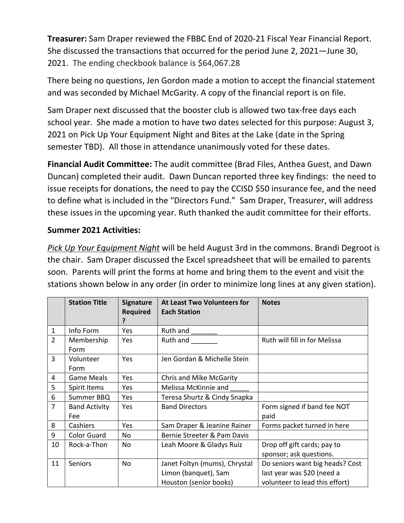**Treasurer:** Sam Draper reviewed the FBBC End of 2020-21 Fiscal Year Financial Report. She discussed the transactions that occurred for the period June 2, 2021—June 30, 2021. The ending checkbook balance is \$64,067.28

There being no questions, Jen Gordon made a motion to accept the financial statement and was seconded by Michael McGarity. A copy of the financial report is on file.

Sam Draper next discussed that the booster club is allowed two tax-free days each school year. She made a motion to have two dates selected for this purpose: August 3, 2021 on Pick Up Your Equipment Night and Bites at the Lake (date in the Spring semester TBD). All those in attendance unanimously voted for these dates.

**Financial Audit Committee:** The audit committee (Brad Files, Anthea Guest, and Dawn Duncan) completed their audit. Dawn Duncan reported three key findings: the need to issue receipts for donations, the need to pay the CCISD \$50 insurance fee, and the need to define what is included in the "Directors Fund." Sam Draper, Treasurer, will address these issues in the upcoming year. Ruth thanked the audit committee for their efforts.

## **Summer 2021 Activities:**

*Pick Up Your Equipment Night* will be held August 3rd in the commons. Brandi Degroot is the chair. Sam Draper discussed the Excel spreadsheet that will be emailed to parents soon. Parents will print the forms at home and bring them to the event and visit the stations shown below in any order (in order to minimize long lines at any given station).

|                | <b>Station Title</b>        | <b>Signature</b><br><b>Required</b> | At Least Two Volunteers for<br><b>Each Station</b>                              | <b>Notes</b>                                                                                    |
|----------------|-----------------------------|-------------------------------------|---------------------------------------------------------------------------------|-------------------------------------------------------------------------------------------------|
| $\mathbf 1$    | Info Form                   | Yes                                 | Ruth and                                                                        |                                                                                                 |
| $\overline{2}$ | Membership<br>Form          | Yes                                 | Ruth and                                                                        | Ruth will fill in for Melissa                                                                   |
| 3              | Volunteer<br>Form           | Yes                                 | Jen Gordan & Michelle Stein                                                     |                                                                                                 |
| 4              | <b>Game Meals</b>           | Yes                                 | Chris and Mike McGarity                                                         |                                                                                                 |
| 5              | Spirit Items                | Yes                                 | Melissa McKinnie and                                                            |                                                                                                 |
| $6\,$          | Summer BBQ                  | Yes                                 | Teresa Shurtz & Cindy Snapka                                                    |                                                                                                 |
| 7              | <b>Band Activity</b><br>Fee | Yes                                 | <b>Band Directors</b>                                                           | Form signed if band fee NOT<br>paid                                                             |
| 8              | Cashiers                    | Yes                                 | Sam Draper & Jeanine Rainer                                                     | Forms packet turned in here                                                                     |
| 9              | <b>Color Guard</b>          | No                                  | Bernie Streeter & Pam Davis                                                     |                                                                                                 |
| 10             | Rock-a-Thon                 | No                                  | Leah Moore & Gladys Ruiz                                                        | Drop off gift cards; pay to<br>sponsor; ask questions.                                          |
| 11             | Seniors                     | No                                  | Janet Foltyn (mums), Chrystal<br>Limon (banquet), Sam<br>Houston (senior books) | Do seniors want big heads? Cost<br>last year was \$20 (need a<br>volunteer to lead this effort) |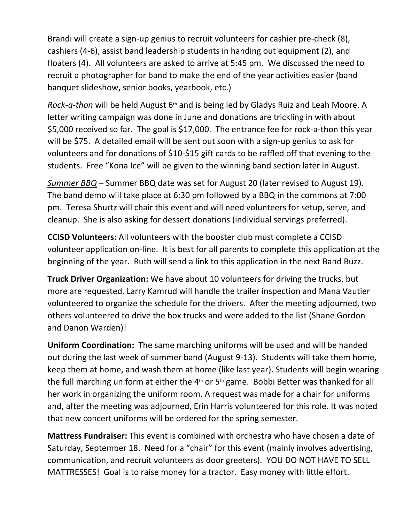Brandi will create a sign-up genius to recruit volunteers for cashier pre-check (8), cashiers (4-6), assist band leadership students in handing out equipment (2), and floaters (4). All volunteers are asked to arrive at 5:45 pm. We discussed the need to recruit a photographer for band to make the end of the year activities easier (band banquet slideshow, senior books, yearbook, etc.)

*Rock-a-thon* will be held August 6<sup>th</sup> and is being led by Gladys Ruiz and Leah Moore. A letter writing campaign was done in June and donations are trickling in with about \$5,000 received so far. The goal is \$17,000. The entrance fee for rock-a-thon this year will be \$75. A detailed email will be sent out soon with a sign-up genius to ask for volunteers and for donations of \$10-\$15 gift cards to be raffled off that evening to the students. Free "Kona Ice" will be given to the winning band section later in August.

*Summer BBQ* – Summer BBQ date was set for August 20 (later revised to August 19). The band demo will take place at 6:30 pm followed by a BBQ in the commons at 7:00 pm. Teresa Shurtz will chair this event and will need volunteers for setup, serve, and cleanup. She is also asking for dessert donations (individual servings preferred).

**CCISD Volunteers:** All volunteers with the booster club must complete a CCISD volunteer application on-line. It is best for all parents to complete this application at the beginning of the year. Ruth will send a link to this application in the next Band Buzz.

**Truck Driver Organization:** We have about 10 volunteers for driving the trucks, but more are requested. Larry Kamrud will handle the trailer inspection and Mana Vautier volunteered to organize the schedule for the drivers. After the meeting adjourned, two others volunteered to drive the box trucks and were added to the list (Shane Gordon and Danon Warden)!

**Uniform Coordination:** The same marching uniforms will be used and will be handed out during the last week of summer band (August 9-13). Students will take them home, keep them at home, and wash them at home (like last year). Students will begin wearing the full marching uniform at either the  $4<sup>th</sup>$  or  $5<sup>th</sup>$  game. Bobbi Better was thanked for all her work in organizing the uniform room. A request was made for a chair for uniforms and, after the meeting was adjourned, Erin Harris volunteered for this role. It was noted that new concert uniforms will be ordered for the spring semester.

**Mattress Fundraiser:** This event is combined with orchestra who have chosen a date of Saturday, September 18. Need for a "chair" for this event (mainly involves advertising, communication, and recruit volunteers as door greeters). YOU DO NOT HAVE TO SELL MATTRESSES! Goal is to raise money for a tractor. Easy money with little effort.